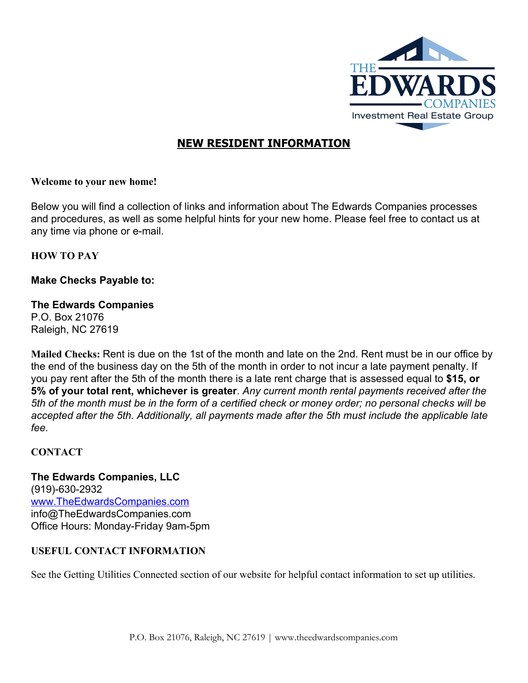

# **NEW RESIDENT INFORMATION**

### **Welcome to your new home!**

Below you will find a collection of links and information about The Edwards Companies processes and procedures, as well as some helpful hints for your new home. Please feel free to contact us at any time via phone or e-mail.

### **HOW TO PAY**

# **Make Checks Payable to:**

### **The Edwards Companies**

P.O. Box 21076 Raleigh, NC 27619

**Mailed Checks:**Rent is due on the 1st of the month and late on the 2nd. Rent must be in our office by the end of the business day on the 5th of the month in order to not incur a late payment penalty. If you pay rent after the 5th of the month there is a late rent charge that is assessed equal to **\$15, or 5% of your total rent,whichever is greater**. *Any current month rental payments received after the* 5th of the month must be in the form of a certified check or money order; no personal checks will be *accepted after the 5th. Additionally, all payments made after the 5th must include the applicable late fee.*

### **CONTACT**

**The Edwards Companies, LLC** (919)-630-2932 [www.TheEdwardsCompanies.com](http://www.theedwardscompanies.com/) [info@TheEdwardsCompanies.com](mailto:info@TheEdwardsCompanies.com) Office Hours: Monday-Friday 9am-5pm

# **USEFUL CONTACT INFORMATION**

See the Getting Utilities Connected section of our website for helpful contact information to set up utilities.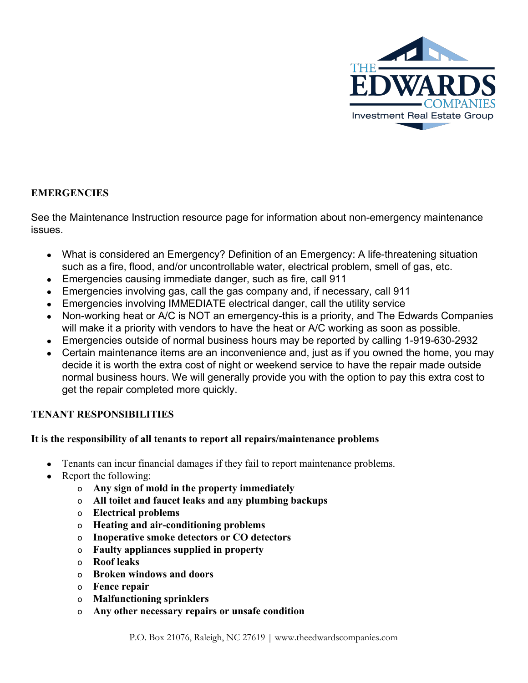

# **EMERGENCIES**

See the Maintenance Instruction resource page for information about non-emergency maintenance issues.

- What is considered an Emergency? Definition of an Emergency: A life-threatening situation such as a fire, flood, and/or uncontrollable water, electrical problem, smell of gas, etc.
- Emergencies causing immediate danger, such as fire, call 911
- Emergencies involving gas, call the gas company and, if necessary, call 911
- Emergencies involving IMMEDIATE electrical danger, call the utility service
- Non-working heat or A/C is NOT an emergency-this is a priority, and The Edwards Companies will make it a priority with vendors to have the heat or A/C working as soon as possible.
- Emergencies outside of normal business hours may be reported by calling 1-919-630-2932
- Certain maintenance items are an inconvenience and, just as if you owned the home, you may decide it is worth the extra cost of night or weekend service to have the repair made outside normal business hours. We will generally provide you with the option to pay this extra cost to get the repair completed more quickly.

# **TENANT RESPONSIBILITIES**

### **It is the responsibility of all tenants to report all repairs/maintenance problems**

- Tenants can incur financial damages if they fail to report maintenance problems.
- **●** Report the following:
	- o **Any sign of mold in the property immediately**
	- o **All toilet and faucet leaks and any plumbing backups**
	- o **Electrical problems**
	- o **Heating and airconditioning problems**
	- o **Inoperative smoke detectors or CO detectors**
	- o **Faulty appliances supplied in property**
	- o **Roof leaks**
	- o **Broken windows and doors**
	- o **Fence repair**
	- o **Malfunctioning sprinklers**
	- o **Any other necessary repairs or unsafe condition**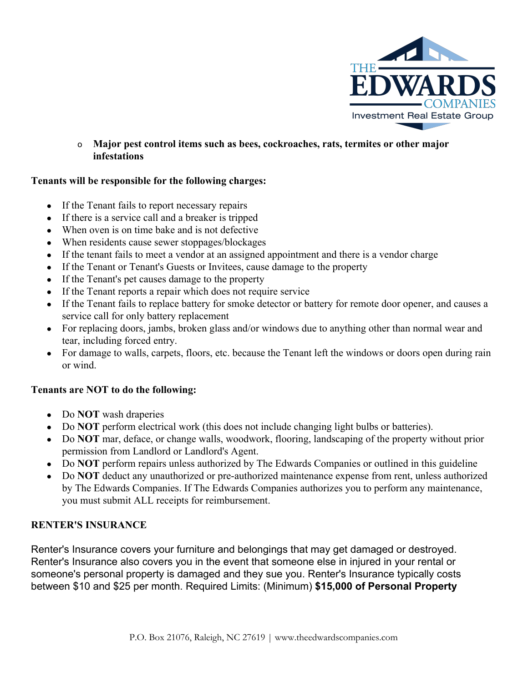

o **Major pest control items such as bees, cockroaches, rats, termites or other major infestations**

### **Tenants will be responsible for the following charges:**

- If the Tenant fails to report necessary repairs
- If there is a service call and a breaker is tripped
- When oven is on time bake and is not defective
- When residents cause sewer stoppages/blockages
- If the tenant fails to meet a vendor at an assigned appointment and there is a vendor charge
- If the Tenant or Tenant's Guests or Invitees, cause damage to the property
- If the Tenant's pet causes damage to the property
- If the Tenant reports a repair which does not require service
- If the Tenant fails to replace battery for smoke detector or battery for remote door opener, and causes a service call for only battery replacement
- For replacing doors, jambs, broken glass and/or windows due to anything other than normal wear and tear, including forced entry.
- For damage to walls, carpets, floors, etc. because the Tenant left the windows or doors open during rain or wind.

# **Tenants are NOT to do the following:**

- Do **NOT** wash draperies
- Do **NOT** perform electrical work (this does not include changing light bulbs or batteries).
- Do **NOT** mar, deface, or change walls, woodwork, flooring, landscaping of the property without prior permission from Landlord or Landlord's Agent.
- Do **NOT** perform repairs unless authorized by The Edwards Companies or outlined in this guideline
- Do **NOT** deduct any unauthorized or pre-authorized maintenance expense from rent, unless authorized by The Edwards Companies. If The Edwards Companies authorizes you to perform any maintenance, you must submit ALL receipts for reimbursement.

# **RENTER'S INSURANCE**

Renter's Insurance covers your furniture and belongings that may get damaged or destroyed. Renter's Insurance also covers you in the event that someone else in injured in your rental or someone's personal property is damaged and they sue you. Renter's Insurance typically costs between \$10 and \$25 per month. Required Limits: (Minimum) **\$15,000of Personal Property**